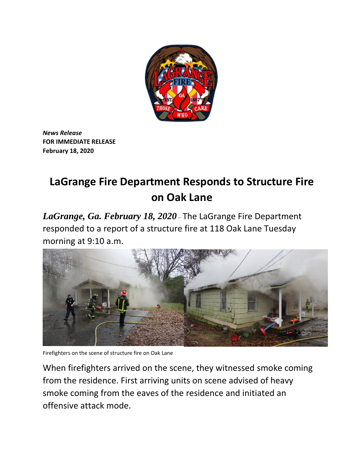

*News Release*  **FOR IMMEDIATE RELEASE February 18, 2020**

## **LaGrange Fire Department Responds to Structure Fire on Oak Lane**

*LaGrange, Ga. February 18, 2020* – The LaGrange Fire Department responded to a report of a structure fire at 118 Oak Lane Tuesday morning at 9:10 a.m.



Firefighters on the scene of structure fire on Oak Lane

When firefighters arrived on the scene, they witnessed smoke coming from the residence. First arriving units on scene advised of heavy smoke coming from the eaves of the residence and initiated an offensive attack mode.